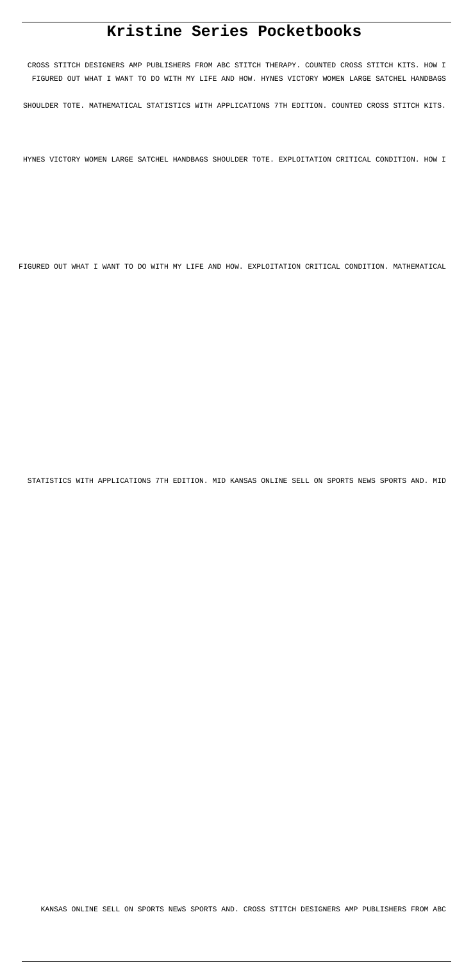# **Kristine Series Pocketbooks**

CROSS STITCH DESIGNERS AMP PUBLISHERS FROM ABC STITCH THERAPY. COUNTED CROSS STITCH KITS. HOW I FIGURED OUT WHAT I WANT TO DO WITH MY LIFE AND HOW. HYNES VICTORY WOMEN LARGE SATCHEL HANDBAGS

SHOULDER TOTE. MATHEMATICAL STATISTICS WITH APPLICATIONS 7TH EDITION. COUNTED CROSS STITCH KITS.

HYNES VICTORY WOMEN LARGE SATCHEL HANDBAGS SHOULDER TOTE. EXPLOITATION CRITICAL CONDITION. HOW I

FIGURED OUT WHAT I WANT TO DO WITH MY LIFE AND HOW. EXPLOITATION CRITICAL CONDITION. MATHEMATICAL

STATISTICS WITH APPLICATIONS 7TH EDITION. MID KANSAS ONLINE SELL ON SPORTS NEWS SPORTS AND. MID

KANSAS ONLINE SELL ON SPORTS NEWS SPORTS AND. CROSS STITCH DESIGNERS AMP PUBLISHERS FROM ABC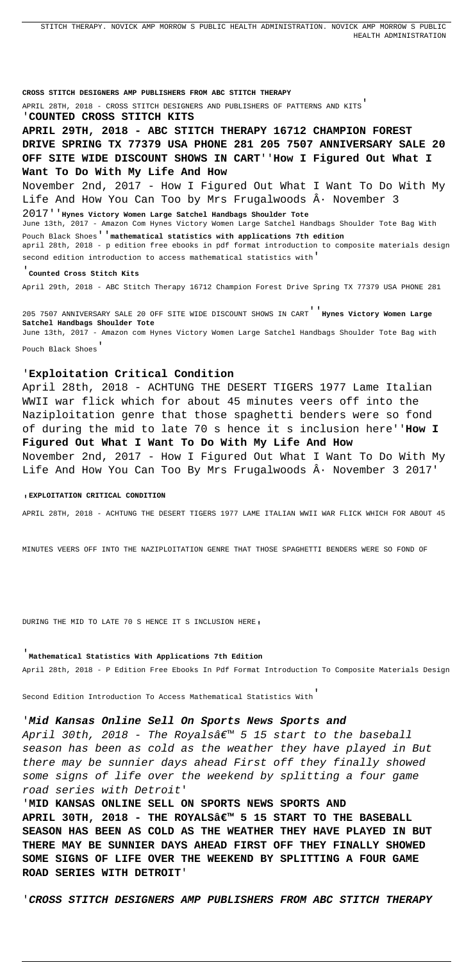STITCH THERAPY. NOVICK AMP MORROW S PUBLIC HEALTH ADMINISTRATION. NOVICK AMP MORROW S PUBLIC HEALTH ADMINISTRATION

**CROSS STITCH DESIGNERS AMP PUBLISHERS FROM ABC STITCH THERAPY** APRIL 28TH, 2018 - CROSS STITCH DESIGNERS AND PUBLISHERS OF PATTERNS AND KITS' '**COUNTED CROSS STITCH KITS APRIL 29TH, 2018 - ABC STITCH THERAPY 16712 CHAMPION FOREST DRIVE SPRING TX 77379 USA PHONE 281 205 7507 ANNIVERSARY SALE 20 OFF SITE WIDE DISCOUNT SHOWS IN CART**''**How I Figured Out What I Want To Do With My Life And How** November 2nd, 2017 - How I Figured Out What I Want To Do With My Life And How You Can Too by Mrs Frugalwoods  $\hat{A}$ . November 3 2017''**Hynes Victory Women Large Satchel Handbags Shoulder Tote** June 13th, 2017 - Amazon Com Hynes Victory Women Large Satchel Handbags Shoulder Tote Bag With Pouch Black Shoes''**mathematical statistics with applications 7th edition** april 28th, 2018 - p edition free ebooks in pdf format introduction to composite materials design second edition introduction to access mathematical statistics with' '**Counted Cross Stitch Kits**

April 28th, 2018 - ACHTUNG THE DESERT TIGERS 1977 Lame Italian WWII war flick which for about 45 minutes veers off into the Naziploitation genre that those spaghetti benders were so fond of during the mid to late 70 s hence it s inclusion here''**How I Figured Out What I Want To Do With My Life And How** November 2nd, 2017 - How I Figured Out What I Want To Do With My Life And How You Can Too By Mrs Frugalwoods  $\hat{A}$ . November 3 2017'

April 29th, 2018 - ABC Stitch Therapy 16712 Champion Forest Drive Spring TX 77379 USA PHONE 281

205 7507 ANNIVERSARY SALE 20 OFF SITE WIDE DISCOUNT SHOWS IN CART''**Hynes Victory Women Large Satchel Handbags Shoulder Tote** June 13th, 2017 - Amazon com Hynes Victory Women Large Satchel Handbags Shoulder Tote Bag with Pouch Black Shoes'

April 30th, 2018 - The Royals' 5 15 start to the baseball season has been as cold as the weather they have played in But there may be sunnier days ahead First off they finally showed some signs of life over the weekend by splitting a four game road series with Detroit'

## '**Exploitation Critical Condition**

#### '**EXPLOITATION CRITICAL CONDITION**

APRIL 28TH, 2018 - ACHTUNG THE DESERT TIGERS 1977 LAME ITALIAN WWII WAR FLICK WHICH FOR ABOUT 45

MINUTES VEERS OFF INTO THE NAZIPLOITATION GENRE THAT THOSE SPAGHETTI BENDERS WERE SO FOND OF

DURING THE MID TO LATE 70 S HENCE IT S INCLUSION HERE,

#### '**Mathematical Statistics With Applications 7th Edition**

April 28th, 2018 - P Edition Free Ebooks In Pdf Format Introduction To Composite Materials Design

Second Edition Introduction To Access Mathematical Statistics With'

# '**Mid Kansas Online Sell On Sports News Sports and**

'**MID KANSAS ONLINE SELL ON SPORTS NEWS SPORTS AND** APRIL 30TH, 2018 - THE ROYALSa€<sup>™</sup> 5 15 START TO THE BASEBALL **SEASON HAS BEEN AS COLD AS THE WEATHER THEY HAVE PLAYED IN BUT THERE MAY BE SUNNIER DAYS AHEAD FIRST OFF THEY FINALLY SHOWED SOME SIGNS OF LIFE OVER THE WEEKEND BY SPLITTING A FOUR GAME ROAD SERIES WITH DETROIT**'

'**CROSS STITCH DESIGNERS AMP PUBLISHERS FROM ABC STITCH THERAPY**